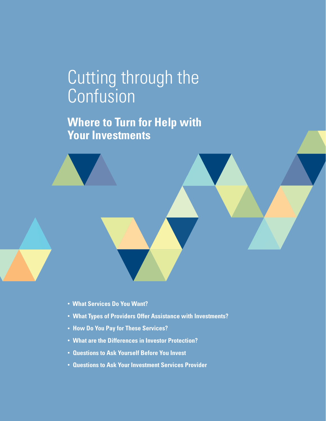# Cutting through the **Confusion**

**Where to Turn for Help with Your Investments**



- **What Types of Providers Offer Assistance with Investments?**
- **How Do You Pay for These Services?**
- **What are the Differences in Investor Protection?**
- **Questions to Ask Yourself Before You Invest**
- **Questions to Ask Your Investment Services Provider**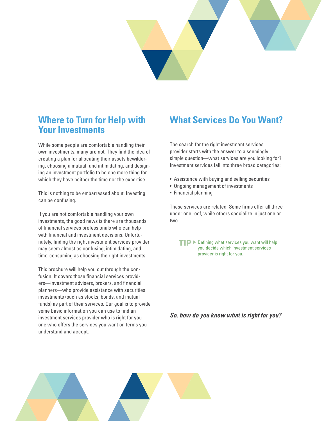

### **Where to Turn for Help with Your Investments**

While some people are comfortable handling their own investments, many are not. They find the idea of creating a plan for allocating their assets bewildering, choosing a mutual fund intimidating, and designing an investment portfolio to be one more thing for which they have neither the time nor the expertise.

This is nothing to be embarrassed about. Investing can be confusing.

If you are not comfortable handling your own investments, the good news is there are thousands of financial services professionals who can help with financial and investment decisions. Unfortunately, finding the right investment services provider may seem almost as confusing, intimidating, and time-consuming as choosing the right investments.

This brochure will help you cut through the confusion. It covers those financial services providers—investment advisers, brokers, and financial planners—who provide assistance with securities investments (such as stocks, bonds, and mutual funds) as part of their services. Our goal is to provide some basic information you can use to find an investment services provider who is right for you one who offers the services you want on terms you understand and accept.

## **What Services Do You Want?**

The search for the right investment services provider starts with the answer to a seemingly simple question—what services are you looking for? Investment services fall into three broad categories:

- Assistance with buying and selling securities
- Ongoing management of investments
- Financial planning

These services are related. Some firms offer all three under one roof, while others specialize in just one or two.

 $TIP$  Defining what services you want will help you decide which investment services provider is right for you.

*So, how do you know what is right for you?* 

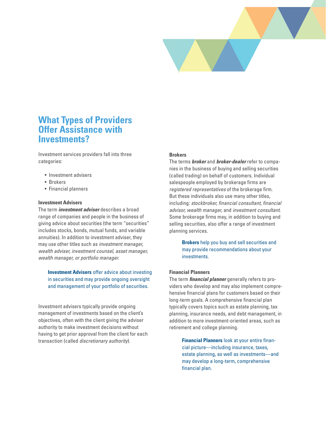

### **What Types of Providers Offer Assistance with Investments?**

Investment services providers fall into three categories:

- Investment advisers
- Brokers
- Financial planners

#### **Investment Advisers**

The term *investment adviser* describes a broad range of companies and people in the business of giving advice about securities (the term "securities" includes stocks, bonds, mutual funds, and variable annuities). In addition to investment adviser, they may use other titles such as *investment manager, wealth adviser, investment counsel, asset manager, wealth manager, or portfolio manager.* 

**Investment Advisers** offer advice about investing in securities and may provide ongoing oversight and management of your portfolio of securities.

Investment advisers typically provide ongoing management of investments based on the client's objectives, often with the client giving the adviser authority to make investment decisions without having to get prior approval from the client for each transaction (called *discretionary authority*).

#### **Brokers**

The terms *broker* and *broker-dealer* refer to companies in the business of buying and selling securities (called trading) on behalf of customers. Individual salespeople employed by brokerage firms are *registered representatives* of the brokerage firm. But these individuals also use many other titles, including: *stockbroker, financial consultant, financial advisor, wealth manager,* and *investment consultant*. Some brokerage firms may, in addition to buying and selling securities, also offer a range of investment planning services.

> **Brokers** help you buy and sell securities and may provide recommendations about your investments.

#### **Financial Planners**

The term *financial planner* generally refers to providers who develop and may also implement comprehensive financial plans for customers based on their long-term goals. A comprehensive financial plan typically covers topics such as estate planning, tax planning, insurance needs, and debt management, in addition to more investment-oriented areas, such as retirement and college planning.

> **Financial Planners** look at your entire financial picture—including insurance, taxes, estate planning, as well as investments—and may develop a long-term, comprehensive financial plan.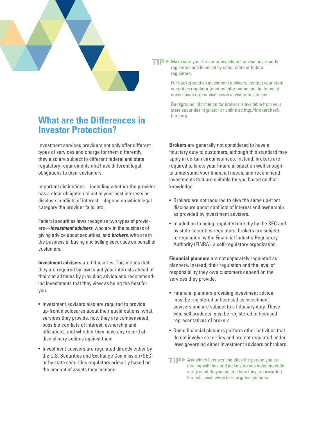

### **What are the Differences in Investor Protection?**

Investment services providers not only offer different types of services and charge for them differently, they also are subject to different federal and state regulatory requirements and have different legal obligations to their customers.

Important distinctions—including whether the provider has a clear obligation to act in your best interests or disclose conflicts of interest—depend on which legal category the provider falls into.

Federal securities laws recognize two types of providers—*investment advisers,* who are in the business of giving advice about securities, and *brokers*, who are in the business of buying and selling securities on behalf of customers.

**Investment advisers** are fiduciaries. This means that they are required by law to put your interests ahead of theirs at all times by providing advice and recommending investments that they view as being the best for you.

- Investment advisers also are required to provide up-front disclosures about their qualifications, what services they provide, how they are compensated, possible conflicts of interest, ownership and affiliations, and whether they have any record of disciplinary actions against them.
- Investment advisers are regulated directly either by the U.S. Securities and Exchange Commission (SEC) or by state securities regulators primarily based on the amount of assets they manage.

 $T$   $\triangleright$  Make sure your broker or investment adviser is properly registered and licensed by either state or federal regulators.

> For background on investment advisers, contact your state securities regulator (contact information can be found at www.nasaa.org) or visit: www.adviserinfo.sec.gov.

Background information for brokers is available from your state securities regulator or online at: http://brokercheck. finra.org.

**Brokers** are generally not considered to have a fiduciary duty to customers, although this standard may apply in certain circumstances. Instead, brokers are required to know your financial situation well enough to understand your financial needs, and recommend investments that are suitable for you based on that knowledge.

- Brokers are not required to give the same up-front disclosure about conflicts of interest and ownership as provided by investment advisers.
- In addition to being regulated directly by the SEC and by state securities regulators, brokers are subject to regulation by the Financial Industry Regulatory Authority (FINRA), a self-regulatory organization.

**Financial planners** are not separately regulated as planners. Instead, their regulation and the level of responsibility they owe customers depend on the services they provide.

- Financial planners providing investment advice must be registered or licensed as investment advisers and are subject to a fiduciary duty. Those who sell products must be registered or licensed representatives of brokers.
- Some financial planners perform other activities that do not involve securities and are not regulated under laws governing either investment advisers or brokers.
- $TIP$  Ask which licenses and titles the person you are dealing with has and make sure you independently verify what they mean and how they are awarded. For help, visit: www.finra.org/designations.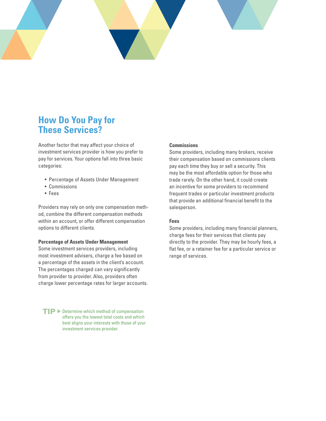### **How Do You Pay for These Services?**

Another factor that may affect your choice of investment services provider is how you prefer to pay for services. Your options fall into three basic categories:

- Percentage of Assets Under Management
- Commissions
- Fees

Providers may rely on only one compensation method, combine the different compensation methods within an account, or offer different compensation options to different clients.

#### **Percentage of Assets Under Management**

Some investment services providers, including most investment advisers, charge a fee based on a percentage of the assets in the client's account. The percentages charged can vary significantly from provider to provider. Also, providers often charge lower percentage rates for larger accounts.

 $TIP$  Determine which method of compensation offers you the lowest total costs and which best aligns your interests with those of your investment services provider.

### **Commissions**

Some providers, including many brokers, receive their compensation based on commissions clients pay each time they buy or sell a security. This may be the most affordable option for those who trade rarely. On the other hand, it could create an incentive for some providers to recommend frequent trades or particular investment products that provide an additional financial benefit to the salesperson.

#### **Fees**

Some providers, including many financial planners, charge fees for their services that clients pay directly to the provider. They may be hourly fees, a flat fee, or a retainer fee for a particular service or range of services.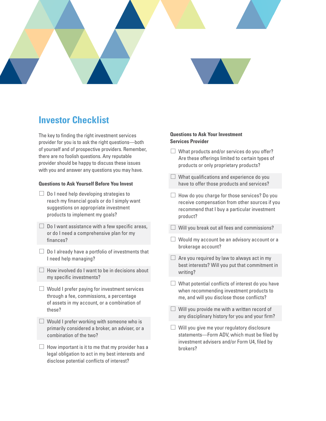

## **Investor Checklist**

The key to finding the right investment services provider for you is to ask the right questions—both of yourself and of prospective providers. Remember, there are no foolish questions. Any reputable provider should be happy to discuss these issues with you and answer any questions you may have.

### **Questions to Ask Yourself Before You Invest**

- $\Box$  Do I need help developing strategies to reach my financial goals or do I simply want suggestions on appropriate investment products to implement my goals?
- $\Box$  Do I want assistance with a few specific areas, or do I need a comprehensive plan for my finances?
- $\Box$  Do I already have a portfolio of investments that I need help managing?
- $\Box$  How involved do I want to be in decisions about my specific investments?
- $\Box$  Would I prefer paying for investment services through a fee, commissions, a percentage of assets in my account, or a combination of these?
- $\Box$  Would I prefer working with someone who is primarily considered a broker, an adviser, or a combination of the two?
- $\Box$  How important is it to me that my provider has a legal obligation to act in my best interests and disclose potential conflicts of interest?

### **Questions to Ask Your Investment Services Provider**

- $\Box$  What products and/or services do you offer? Are these offerings limited to certain types of products or only proprietary products?
- $\Box$  What qualifications and experience do you have to offer those products and services?
- $\Box$  How do you charge for those services? Do you receive compensation from other sources if you recommend that I buy a particular investment product?
- $\Box$  Will you break out all fees and commissions?
- $\Box$  Would my account be an advisory account or a brokerage account?
- $\Box$  Are you required by law to always act in my best interests? Will you put that commitment in writing?
- $\Box$  What potential conflicts of interest do you have when recommending investment products to me, and will you disclose those conflicts?
- $\Box$  Will you provide me with a written record of any disciplinary history for you and your firm?
- $\Box$  Will you give me your regulatory disclosure statements—Form ADV, which must be filed by investment advisers and/or Form U4, filed by brokers?